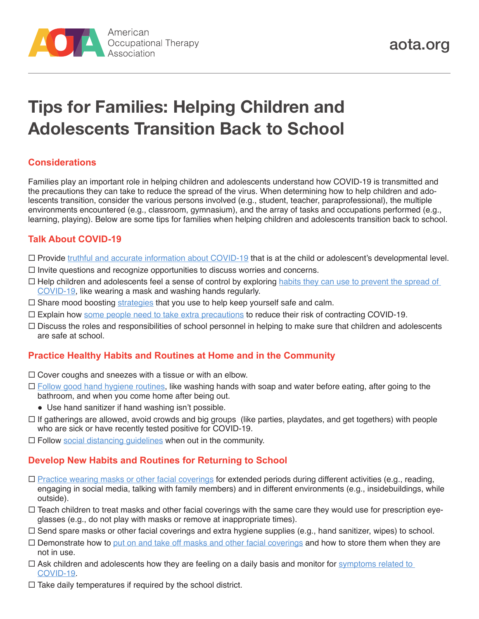

# **Tips for Families: Helping Children and Adolescents Transition Back to School**

# **Considerations**

Families play an important role in helping children and adolescents understand how COVID-19 is transmitted and the precautions they can take to reduce the spread of the virus. When determining how to help children and adolescents transition, consider the various persons involved (e.g., student, teacher, paraprofessional), the multiple environments encountered (e.g., classroom, gymnasium), and the array of tasks and occupations performed (e.g., learning, playing). Below are some tips for families when helping children and adolescents transition back to school.

## **Talk About COVID-19**

- $\Box$  Provide [truthful and accurate information about COVID-19](https://www.cdc.gov/coronavirus/2019-ncov/daily-life-coping/share-facts.html) that is at the child or adolescent's developmental level.
- $\Box$  Invite questions and recognize opportunities to discuss worries and concerns.
- $\Box$  Help children and adolescents feel a sense of control by exploring habits they can use to prevent the spread of [COVID-19](https://www.cdc.gov/coronavirus/2019-ncov/prevent-getting-sick/prevention.html), like wearing a mask and washing hands regularly.
- $\Box$  Share mood boosting [strategies](https://www.healthychildren.org/English/health-issues/conditions/COVID-19/Pages/Mood-Boosting-Tips-for-Families-COVID-19.aspx) that you use to help keep yourself safe and calm.
- $\Box$  Explain how [some people need to take extra precautions](https://www.cdc.gov/coronavirus/2019-ncov/need-extra-precautions/people-at-increased-risk.html?CDC_AA_refVal=https%3A%2F%2Fwww.cdc.gov%2Fcoronavirus%2F2019-ncov%2Fneed-extra-precautions%2Fpeople-at-higher-risk.html) to reduce their risk of contracting COVID-19.
- $\Box$  Discuss the roles and responsibilities of school personnel in helping to make sure that children and adolescents are safe at school.

## **Practice Healthy Habits and Routines at Home and in the Community**

- $\Box$  Cover coughs and sneezes with a tissue or with an elbow.
- $\Box$  [Follow good hand hygiene routines,](https://www.cdc.gov/coronavirus/2019-ncov/hcp/hand-hygiene.html) like washing hands with soap and water before eating, after going to the bathroom, and when you come home after being out.
	- Use hand sanitizer if hand washing isn't possible.
- $\Box$  If gatherings are allowed, avoid crowds and big groups (like parties, playdates, and get togethers) with people who are sick or have recently tested positive for COVID-19.
- $\Box$  Follow [social distancing guidelines](https://www.cdc.gov/coronavirus/2019-ncov/prevent-getting-sick/social-distancing.html) when out in the community.

# **Develop New Habits and Routines for Returning to School**

- $\square$  [Practice wearing masks or other facial coverings](https://www.cdc.gov/coronavirus/2019-ncov/prevent-getting-sick/how-to-wear-cloth-face-coverings.html) for extended periods during different activities (e.g., reading, engaging in social media, talking with family members) and in different environments (e.g., insidebuildings, while outside).
- Teach children to treat masks and other facial coverings with the same care they would use for prescription eyeglasses (e.g., do not play with masks or remove at inappropriate times).
- Send spare masks or other facial coverings and extra hygiene supplies (e.g., hand sanitizer, wipes) to school.
- $\Box$  Demonstrate how to [put on and take off masks and other facial coverings](https://www.cdc.gov/coronavirus/2019-ncov/downloads/hcp/fs-facemask-dos-donts.pdf) and how to store them when they are not in use.
- $\Box$  Ask children and adolescents how they are feeling on a daily basis and monitor for symptoms related to [COVID-19](https://www.cdc.gov/coronavirus/2019-ncov/symptoms-testing/symptoms.html).
- $\Box$  Take daily temperatures if required by the school district.